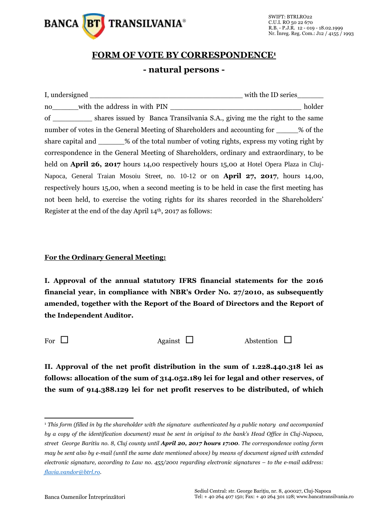

## **FORM OF VOTE BY CORRESPONDENCE<sup>1</sup> - natural persons -**

| no with the address in with PIN                                                             |  | holder |  |  |  |
|---------------------------------------------------------------------------------------------|--|--------|--|--|--|
| of ______________ shares issued by Banca Transilvania S.A., giving me the right to the same |  |        |  |  |  |
| number of votes in the General Meeting of Shareholders and accounting for 3% of the         |  |        |  |  |  |
| share capital and _______% of the total number of voting rights, express my voting right by |  |        |  |  |  |
| correspondence in the General Meeting of Shareholders, ordinary and extraordinary, to be    |  |        |  |  |  |
| held on April 26, 2017 hours 14,00 respectively hours 15,00 at Hotel Opera Plaza in Cluj-   |  |        |  |  |  |
| Napoca, General Traian Mosoiu Street, no. 10-12 or on <b>April 27, 2017</b> , hours 14,00,  |  |        |  |  |  |
| respectively hours 15,00, when a second meeting is to be held in case the first meeting has |  |        |  |  |  |
| not been held, to exercise the voting rights for its shares recorded in the Shareholders'   |  |        |  |  |  |
| Register at the end of the day April $14th$ , 2017 as follows:                              |  |        |  |  |  |

## **For the Ordinary General Meeting:**

**I. Approval of the annual statutory IFRS financial statements for the 2016 financial year, in compliance with NBR's Order No. 27/2010, as subsequently amended, together with the Report of the Board of Directors and the Report of the Independent Auditor.** 

 $\overline{a}$ 

For  $\Box$  Against  $\Box$  Abstention  $\Box$ 

**II. Approval of the net profit distribution in the sum of 1.228.440.318 lei as follows: allocation of the sum of 314.052.189 lei for legal and other reserves, of the sum of 914.388.129 lei for net profit reserves to be distributed, of which** 

<sup>1</sup> *This form (filled in by the shareholder with the signature authenticated by a public notary and accompanied by a copy of the identification document) must be sent in original to the bank's Head Office in Cluj-Napoca, street George Baritiu no. 8, Cluj county until April 20, 2017 hours 17:00. The correspondence voting form may be sent also by e-mail (until the same date mentioned above) by means of document signed with extended electronic signature, according to Law no. 455/2001 regarding electronic signatures – to the e-mail address: [flavia.vandor@btrl.ro.](mailto:flavia.vandor@btrl.ro)*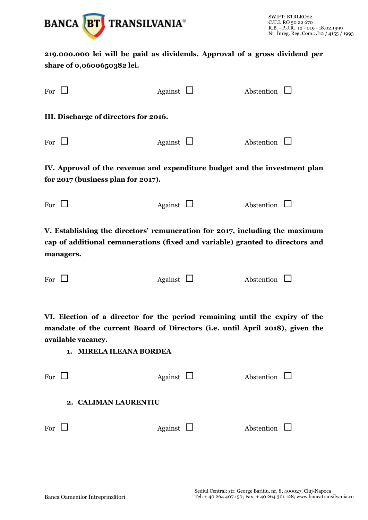

**219.000.000 lei will be paid as dividends. Approval of a gross dividend per share of 0,0600650382 lei.**

| For $\Box$                                                                                                       |  | Against $\Box$ |  | Abstention        |  |  |  |
|------------------------------------------------------------------------------------------------------------------|--|----------------|--|-------------------|--|--|--|
| III. Discharge of directors for 2016.                                                                            |  |                |  |                   |  |  |  |
| For $\Box$                                                                                                       |  | Against $\Box$ |  | Abstention $\Box$ |  |  |  |
| IV. Approval of the revenue and expenditure budget and the investment plan<br>for 2017 (business plan for 2017). |  |                |  |                   |  |  |  |
| For $\Box$                                                                                                       |  | Against $\Box$ |  | Abstention $\Box$ |  |  |  |
| V. Establishing the directors' remuneration for 2017, including the maximum                                      |  |                |  |                   |  |  |  |

**cap of additional remunerations (fixed and variable) granted to directors and managers.**

Against  $\Box$  Abstention  $\Box$ 

**VI. Election of a director for the period remaining until the expiry of the mandate of the current Board of Directors (i.e. until April 2018), given the available vacancy.**

**1. MIRELA ILEANA BORDEA**

| For | Against | Abstention |
|-----|---------|------------|
|-----|---------|------------|

**2. CALIMAN LAURENTIU**

For  $\Box$  Against  $\Box$  Abstention  $\Box$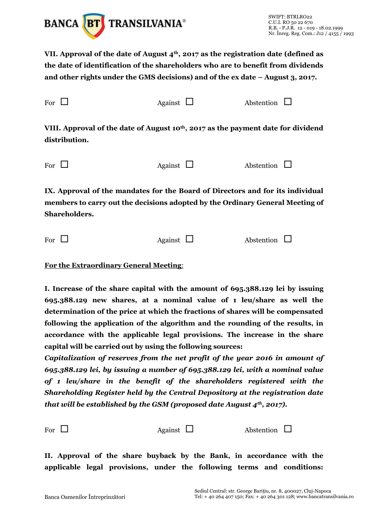

**VII. Approval of the date of August 4th, 2017 as the registration date (defined as the date of identification of the shareholders who are to benefit from dividends and other rights under the GMS decisions) and of the ex date – August 3, 2017.**

| For           | Against $\Box$                                                                                | Abstention |
|---------------|-----------------------------------------------------------------------------------------------|------------|
| distribution. | VIII. Approval of the date of August 10 <sup>th</sup> , 2017 as the payment date for dividend |            |
| For           | Against $\Box$                                                                                | Abstention |

**IX. Approval of the mandates for the Board of Directors and for its individual members to carry out the decisions adopted by the Ordinary General Meeting of Shareholders.**

| For $\Box$ | Against $\Box$ | Abstention $\Box$ |  |
|------------|----------------|-------------------|--|
|            |                |                   |  |

**For the Extraordinary General Meeting**:

**I. Increase of the share capital with the amount of 695.388.129 lei by issuing 695.388.129 new shares, at a nominal value of 1 leu/share as well the determination of the price at which the fractions of shares will be compensated following the application of the algorithm and the rounding of the results, in accordance with the applicable legal provisions. The increase in the share capital will be carried out by using the following sources:**

*Capitalization of reserves from the net profit of the year 2016 in amount of 695.388.129 lei, by issuing a number of 695.388.129 lei, with a nominal value of 1 leu/share in the benefit of the shareholders registered with the Shareholding Register held by the Central Depository at the registration date that will be established by the GSM (proposed date August 4th, 2017).*

For  $\Box$  Against  $\Box$  Abstention  $\Box$ 

**II. Approval of the share buyback by the Bank, in accordance with the applicable legal provisions, under the following terms and conditions:**